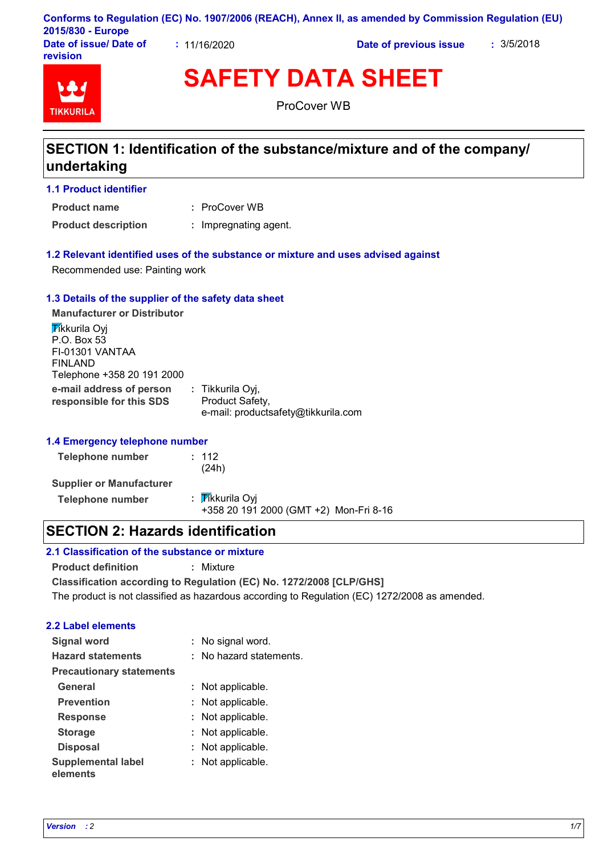|                        |              | Conforms to Regulation (EC) No. 1907/2006 (REACH), Annex II, as amended by Commission Regulation (EU) |            |
|------------------------|--------------|-------------------------------------------------------------------------------------------------------|------------|
| 2015/830 - Europe      |              |                                                                                                       |            |
| Date of issue/ Date of | : 11/16/2020 | Date of previous issue                                                                                | : 3/5/2018 |

# **TIKKURIL**

**revision**

**SAFETY DATA SHEET**

ProCover WB

## **SECTION 1: Identification of the substance/mixture and of the company/ undertaking**

## **1.1 Product identifier**

ProCover WB **: Product name**

**Product description :** Impregnating agent.

## **1.2 Relevant identified uses of the substance or mixture and uses advised against**

Recommended use: Painting work

#### **1.3 Details of the supplier of the safety data sheet**

**e-mail address of person responsible for this SDS :** Tikkurila Oyj, Product Safety, e-mail: productsafety@tikkurila.com **Manufacturer or Distributor Tikkurila Ovi** P.O. Box 53 FI-01301 VANTAA FINLAND Telephone +358 20 191 2000

#### **1.4 Emergency telephone number**

| <b>Telephone number</b>         | : 112<br>(24h)                                            |
|---------------------------------|-----------------------------------------------------------|
| <b>Supplier or Manufacturer</b> |                                                           |
| <b>Telephone number</b>         | : Tikkurila Oyi<br>+358 20 191 2000 (GMT +2) Mon-Fri 8-16 |

## **SECTION 2: Hazards identification**

## **2.1 Classification of the substance or mixture**

**Product definition :** Mixture

**Classification according to Regulation (EC) No. 1272/2008 [CLP/GHS]**

The product is not classified as hazardous according to Regulation (EC) 1272/2008 as amended.

## **2.2 Label elements**

| <b>Signal word</b>                    | : No signal word.       |
|---------------------------------------|-------------------------|
| <b>Hazard statements</b>              | : No hazard statements. |
| <b>Precautionary statements</b>       |                         |
| General                               | : Not applicable.       |
| <b>Prevention</b>                     | : Not applicable.       |
| <b>Response</b>                       | : Not applicable.       |
| <b>Storage</b>                        | : Not applicable.       |
| <b>Disposal</b>                       | : Not applicable.       |
| <b>Supplemental label</b><br>elements | : Not applicable.       |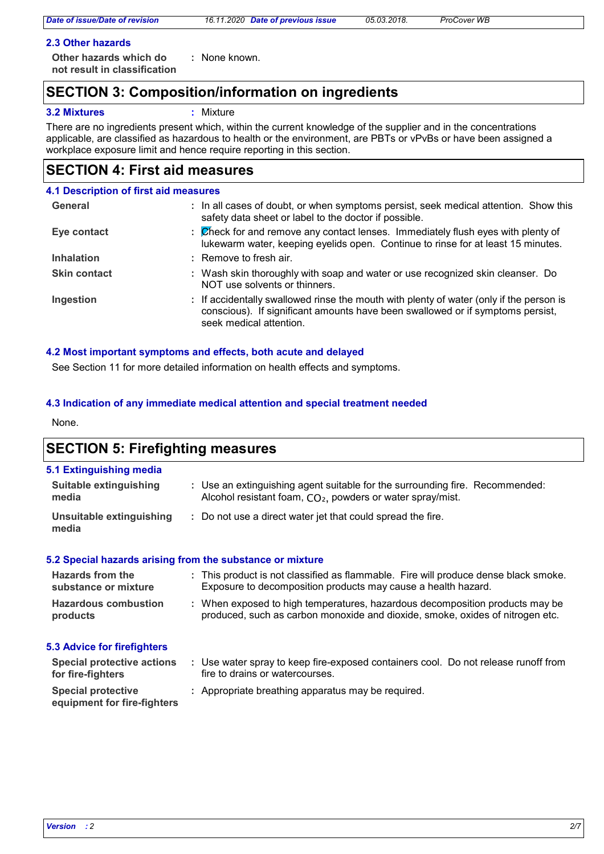## **2.3 Other hazards**

**Other hazards which do : not result in classification** : None known.

## **SECTION 3: Composition/information on ingredients**

## **3.2 Mixtures :** Mixture

There are no ingredients present which, within the current knowledge of the supplier and in the concentrations applicable, are classified as hazardous to health or the environment, are PBTs or vPvBs or have been assigned a workplace exposure limit and hence require reporting in this section.

## **SECTION 4: First aid measures**

## **4.1 Description of first aid measures**

| General             | : In all cases of doubt, or when symptoms persist, seek medical attention. Show this<br>safety data sheet or label to the doctor if possible.                                                        |
|---------------------|------------------------------------------------------------------------------------------------------------------------------------------------------------------------------------------------------|
| Eye contact         | : Check for and remove any contact lenses. Immediately flush eyes with plenty of<br>lukewarm water, keeping eyelids open. Continue to rinse for at least 15 minutes.                                 |
| <b>Inhalation</b>   | : Remove to fresh air.                                                                                                                                                                               |
| <b>Skin contact</b> | : Wash skin thoroughly with soap and water or use recognized skin cleanser. Do<br>NOT use solvents or thinners.                                                                                      |
| Ingestion           | : If accidentally swallowed rinse the mouth with plenty of water (only if the person is<br>conscious). If significant amounts have been swallowed or if symptoms persist,<br>seek medical attention. |

## **4.2 Most important symptoms and effects, both acute and delayed**

See Section 11 for more detailed information on health effects and symptoms.

## **4.3 Indication of any immediate medical attention and special treatment needed**

None.

## **SECTION 5: Firefighting measures**

#### **5.1 Extinguishing media**

| Suitable extinguishing            | : Use an extinguishing agent suitable for the surrounding fire. Recommended: |
|-----------------------------------|------------------------------------------------------------------------------|
| media                             | Alcohol resistant foam, $CO2$ , powders or water spray/mist.                 |
| Unsuitable extinguishing<br>media | : Do not use a direct water jet that could spread the fire.                  |

#### **5.2 Special hazards arising from the substance or mixture**

| <b>Hazards from the</b><br>substance or mixture | : This product is not classified as flammable. Fire will produce dense black smoke.<br>Exposure to decomposition products may cause a health hazard.          |  |
|-------------------------------------------------|---------------------------------------------------------------------------------------------------------------------------------------------------------------|--|
| <b>Hazardous combustion</b><br>products         | : When exposed to high temperatures, hazardous decomposition products may be<br>produced, such as carbon monoxide and dioxide, smoke, oxides of nitrogen etc. |  |

## **5.3 Advice for firefighters**

| <b>Special protective actions</b><br>for fire-fighters   | Use water spray to keep fire-exposed containers cool. Do not release runoff from<br>fire to drains or watercourses. |
|----------------------------------------------------------|---------------------------------------------------------------------------------------------------------------------|
| <b>Special protective</b><br>equipment for fire-fighters | : Appropriate breathing apparatus may be required.                                                                  |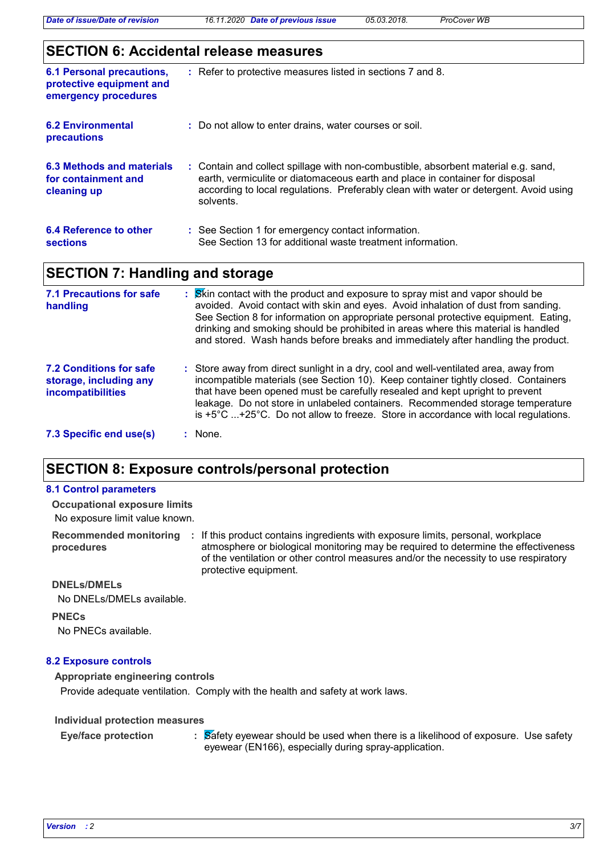*Date of issue/Date of revision 16.11.2020 Date of previous issue 05.03.2018. ProCover WB*

## **SECTION 6: Accidental release measures**

| <b>6.1 Personal precautions,</b><br>protective equipment and<br>emergency procedures | : Refer to protective measures listed in sections 7 and 8.                                                                                                                                                                                                               |
|--------------------------------------------------------------------------------------|--------------------------------------------------------------------------------------------------------------------------------------------------------------------------------------------------------------------------------------------------------------------------|
| <b>6.2 Environmental</b><br>precautions                                              | : Do not allow to enter drains, water courses or soil.                                                                                                                                                                                                                   |
| 6.3 Methods and materials<br>for containment and<br>cleaning up                      | : Contain and collect spillage with non-combustible, absorbent material e.g. sand,<br>earth, vermiculite or diatomaceous earth and place in container for disposal<br>according to local regulations. Preferably clean with water or detergent. Avoid using<br>solvents. |
| 6.4 Reference to other<br><b>sections</b>                                            | : See Section 1 for emergency contact information.<br>See Section 13 for additional waste treatment information.                                                                                                                                                         |

## **SECTION 7: Handling and storage**

| <b>7.1 Precautions for safe</b><br>handling                                   | Skin contact with the product and exposure to spray mist and vapor should be<br>avoided. Avoid contact with skin and eyes. Avoid inhalation of dust from sanding.<br>See Section 8 for information on appropriate personal protective equipment. Eating,<br>drinking and smoking should be prohibited in areas where this material is handled<br>and stored. Wash hands before breaks and immediately after handling the product.                      |
|-------------------------------------------------------------------------------|--------------------------------------------------------------------------------------------------------------------------------------------------------------------------------------------------------------------------------------------------------------------------------------------------------------------------------------------------------------------------------------------------------------------------------------------------------|
| <b>7.2 Conditions for safe</b><br>storage, including any<br>incompatibilities | : Store away from direct sunlight in a dry, cool and well-ventilated area, away from<br>incompatible materials (see Section 10). Keep container tightly closed. Containers<br>that have been opened must be carefully resealed and kept upright to prevent<br>leakage. Do not store in unlabeled containers. Recommended storage temperature<br>is $+5^{\circ}$ C $+25^{\circ}$ C. Do not allow to freeze. Store in accordance with local regulations. |
| 7.3 Specific end use(s)                                                       | : None.                                                                                                                                                                                                                                                                                                                                                                                                                                                |

## **SECTION 8: Exposure controls/personal protection**

## Recommended monitoring : If this product contains ingredients with exposure limits, personal, workplace **procedures** No exposure limit value known. **Occupational exposure limits** atmosphere or biological monitoring may be required to determine the effectiveness of the ventilation or other control measures and/or the necessity to use respiratory protective equipment. **PNECs 8.1 Control parameters DNELs/DMELs** No DNELs/DMELs available. No PNECs available.

#### **8.2 Exposure controls**

**Appropriate engineering controls**

Provide adequate ventilation. Comply with the health and safety at work laws.

#### **Individual protection measures**

**Eye/face protection :**

 $\frac{1}{2}$   $\frac{1}{2}$  Safety eyewear should be used when there is a likelihood of exposure. Use safety eyewear (EN166), especially during spray-application.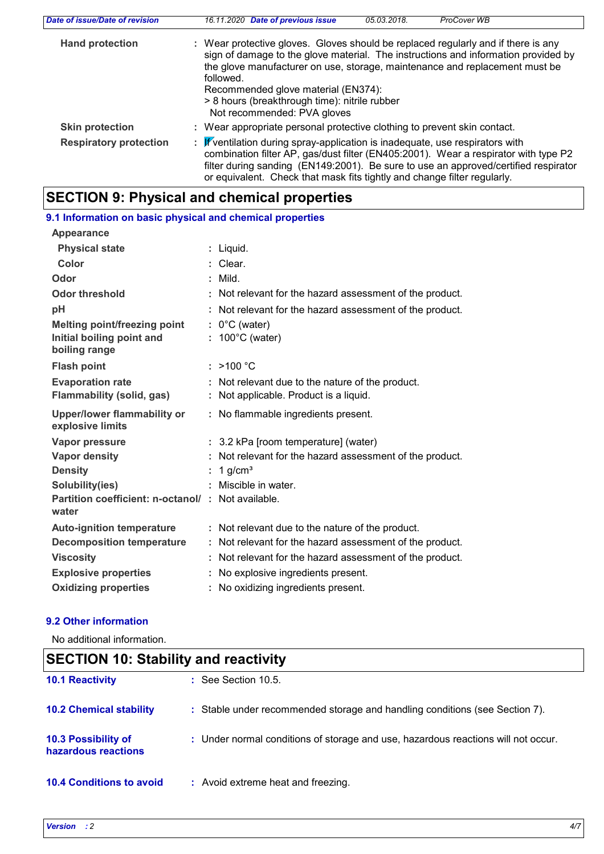| Date of issue/Date of revision | 16.11.2020 Date of previous issue<br>05.03.2018.<br>ProCover WB                                                                                                                                                                                                                                                                                                                            |  |  |  |  |
|--------------------------------|--------------------------------------------------------------------------------------------------------------------------------------------------------------------------------------------------------------------------------------------------------------------------------------------------------------------------------------------------------------------------------------------|--|--|--|--|
| <b>Hand protection</b>         | : Wear protective gloves. Gloves should be replaced regularly and if there is any<br>sign of damage to the glove material. The instructions and information provided by<br>the glove manufacturer on use, storage, maintenance and replacement must be<br>followed.<br>Recommended glove material (EN374):<br>> 8 hours (breakthrough time): nitrile rubber<br>Not recommended: PVA gloves |  |  |  |  |
| <b>Skin protection</b>         | : Wear appropriate personal protective clothing to prevent skin contact.                                                                                                                                                                                                                                                                                                                   |  |  |  |  |
| <b>Respiratory protection</b>  | : If ventilation during spray-application is inadequate, use respirators with<br>combination filter AP, gas/dust filter (EN405:2001). Wear a respirator with type P2<br>filter during sanding (EN149:2001). Be sure to use an approved/certified respirator<br>or equivalent. Check that mask fits tightly and change filter regularly.                                                    |  |  |  |  |

## **SECTION 9: Physical and chemical properties**

| 9.1 Information on basic physical and chemical properties  |    |                                                          |
|------------------------------------------------------------|----|----------------------------------------------------------|
| <b>Appearance</b>                                          |    |                                                          |
| <b>Physical state</b>                                      |    | : Liquid.                                                |
| Color                                                      |    | Clear.                                                   |
| Odor                                                       |    | $:$ Mild.                                                |
| Odor threshold                                             |    | : Not relevant for the hazard assessment of the product. |
| pH                                                         |    | : Not relevant for the hazard assessment of the product. |
| Melting point/freezing point                               |    | $: 0^{\circ}$ C (water)                                  |
| Initial boiling point and<br>boiling range                 |    | $: 100^{\circ}$ C (water)                                |
| <b>Flash point</b>                                         |    | $:$ >100 °C                                              |
| <b>Evaporation rate</b>                                    |    | : Not relevant due to the nature of the product.         |
| <b>Flammability (solid, gas)</b>                           |    | : Not applicable. Product is a liquid.                   |
| <b>Upper/lower flammability or</b><br>explosive limits     |    | : No flammable ingredients present.                      |
| Vapor pressure                                             |    |                                                          |
|                                                            |    | : 3.2 kPa [room temperature] (water)                     |
| <b>Vapor density</b>                                       |    | : Not relevant for the hazard assessment of the product. |
| <b>Density</b>                                             | ÷. | 1 $q/cm3$                                                |
| Solubility(ies)                                            |    | : Miscible in water.                                     |
| Partition coefficient: n-octanol/: Not available.<br>water |    |                                                          |
| <b>Auto-ignition temperature</b>                           |    | : Not relevant due to the nature of the product.         |
| <b>Decomposition temperature</b>                           |    | : Not relevant for the hazard assessment of the product. |
| <b>Viscosity</b>                                           |    | : Not relevant for the hazard assessment of the product. |
| <b>Explosive properties</b>                                |    | : No explosive ingredients present.                      |

## **9.2 Other information**

No additional information.

| <b>SECTION 10: Stability and reactivity</b> |                                                                                   |  |
|---------------------------------------------|-----------------------------------------------------------------------------------|--|
| <b>10.1 Reactivity</b>                      | $\therefore$ See Section 10.5.                                                    |  |
| <b>10.2 Chemical stability</b>              | : Stable under recommended storage and handling conditions (see Section 7).       |  |
| 10.3 Possibility of<br>hazardous reactions  | : Under normal conditions of storage and use, hazardous reactions will not occur. |  |
| <b>10.4 Conditions to avoid</b>             | : Avoid extreme heat and freezing.                                                |  |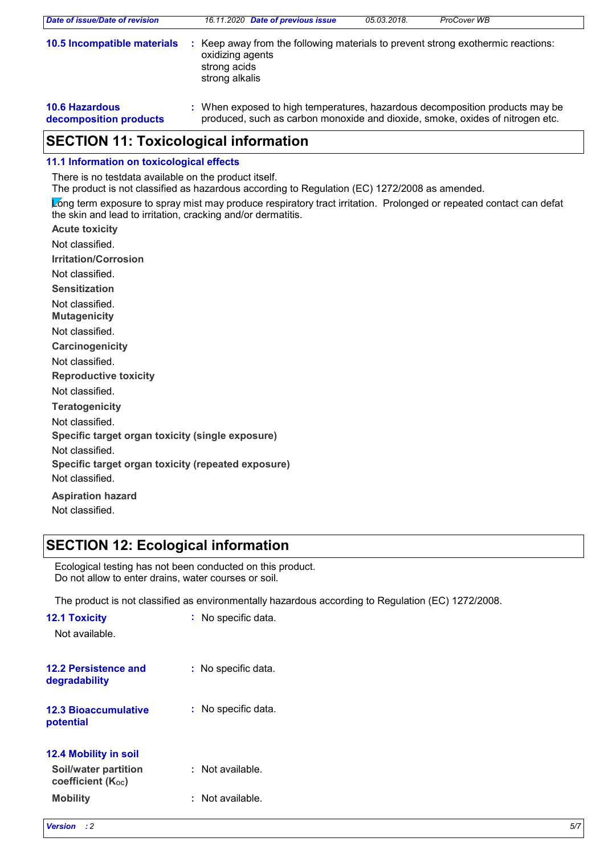| Date of issue/Date of revision                  | 16.11.2020 Date of previous issue                                                                                                                             | 05.03.2018. | ProCover WB |  |
|-------------------------------------------------|---------------------------------------------------------------------------------------------------------------------------------------------------------------|-------------|-------------|--|
| 10.5 Incompatible materials                     | Keep away from the following materials to prevent strong exothermic reactions:<br>oxidizing agents<br>strong acids<br>strong alkalis                          |             |             |  |
| <b>10.6 Hazardous</b><br>decomposition products | : When exposed to high temperatures, hazardous decomposition products may be<br>produced, such as carbon monoxide and dioxide, smoke, oxides of nitrogen etc. |             |             |  |

## **SECTION 11: Toxicological information**

## **11.1 Information on toxicological effects**

There is no testdata available on the product itself.

The product is not classified as hazardous according to Regulation (EC) 1272/2008 as amended.

Long term exposure to spray mist may produce respiratory tract irritation. Prolonged or repeated contact can defat the skin and lead to irritation, cracking and/or dermatitis.

**Acute toxicity Carcinogenicity Mutagenicity Teratogenicity Reproductive toxicity Irritation/Corrosion Sensitization** Not classified. Not classified. Not classified. Not classified. Not classified. Not classified.

Not classified.

**Specific target organ toxicity (single exposure)**

Not classified.

**Specific target organ toxicity (repeated exposure)**

Not classified.

**Aspiration hazard** Not classified.

## **SECTION 12: Ecological information**

Ecological testing has not been conducted on this product. Do not allow to enter drains, water courses or soil.

The product is not classified as environmentally hazardous according to Regulation (EC) 1272/2008.

| <b>12.1 Toxicity</b><br>Not available.                 | : No specific data.     |
|--------------------------------------------------------|-------------------------|
| 12.2 Persistence and<br>degradability                  | No specific data.<br>t. |
| <b>12.3 Bioaccumulative</b><br>potential               | No specific data.<br>t. |
| <b>12.4 Mobility in soil</b>                           |                         |
| Soil/water partition<br>coefficient (K <sub>oc</sub> ) | : Not available.        |
| <b>Mobility</b>                                        | Not available.          |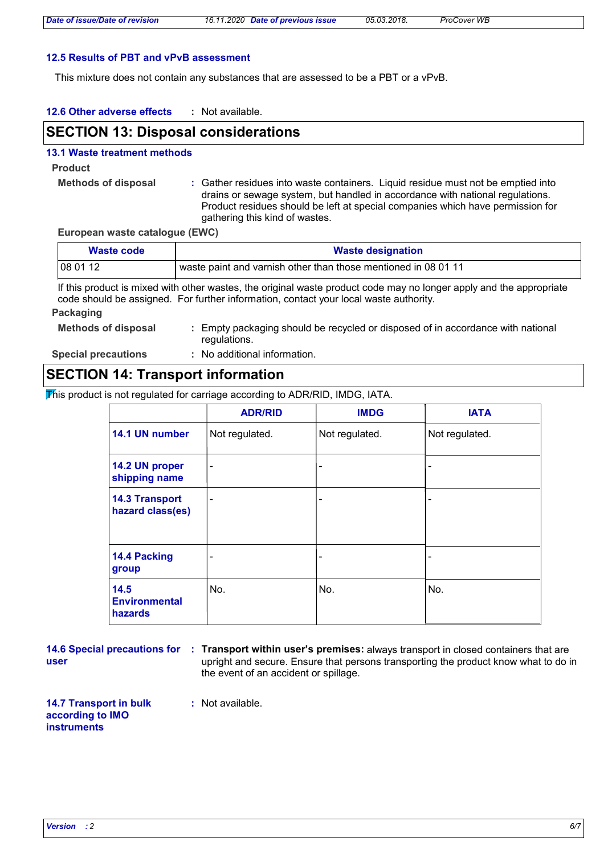#### **12.5 Results of PBT and vPvB assessment**

This mixture does not contain any substances that are assessed to be a PBT or a vPvB.

| 12.6 Other adverse effects | Not available. |
|----------------------------|----------------|
|----------------------------|----------------|

## **SECTION 13: Disposal considerations**

#### **13.1 Waste treatment methods**

**Product**

**Methods of disposal :**

Gather residues into waste containers. Liquid residue must not be emptied into drains or sewage system, but handled in accordance with national regulations. Product residues should be left at special companies which have permission for gathering this kind of wastes.

#### **European waste catalogue (EWC)**

| Waste code | <b>Waste designation</b>                                       |
|------------|----------------------------------------------------------------|
| 08 01 12   | waste paint and varnish other than those mentioned in 08 01 11 |

If this product is mixed with other wastes, the original waste product code may no longer apply and the appropriate code should be assigned. For further information, contact your local waste authority.

#### **Packaging**

| <b>Methods of disposal</b> | : Empty packaging should be recycled or disposed of in accordance with national |
|----------------------------|---------------------------------------------------------------------------------|
|                            | regulations.                                                                    |

**Special precautions :** No additional information.

## **SECTION 14: Transport information**

This product is not regulated for carriage according to ADR/RID, IMDG, IATA.

|                                                | <b>ADR/RID</b>           | <b>IMDG</b>    | <b>IATA</b>    |
|------------------------------------------------|--------------------------|----------------|----------------|
| 14.1 UN number                                 | Not regulated.           | Not regulated. | Not regulated. |
| 14.2 UN proper<br>shipping name                |                          | -              |                |
| <b>14.3 Transport</b><br>hazard class(es)      | $\overline{\phantom{a}}$ | -              |                |
| 14.4 Packing<br>group                          |                          | -              |                |
| 14.5<br><b>Environmental</b><br><b>hazards</b> | No.                      | No.            | No.            |

| 14.6 Special precautions for : |  |
|--------------------------------|--|
| user                           |  |

**Transport within user's premises:** always transport in closed containers that are **:** upright and secure. Ensure that persons transporting the product know what to do in the event of an accident or spillage.

**14.7 Transport in bulk according to IMO instruments :** Not available.